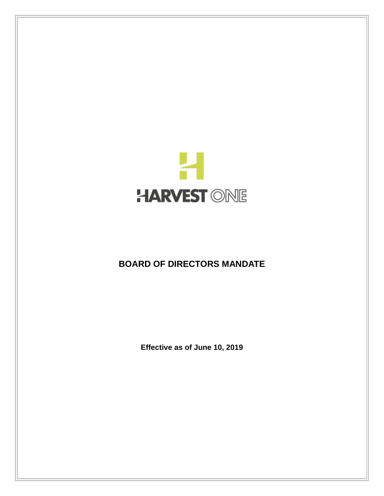

# **BOARD OF DIRECTORS MANDATE**

**Effective as of June 10, 2019**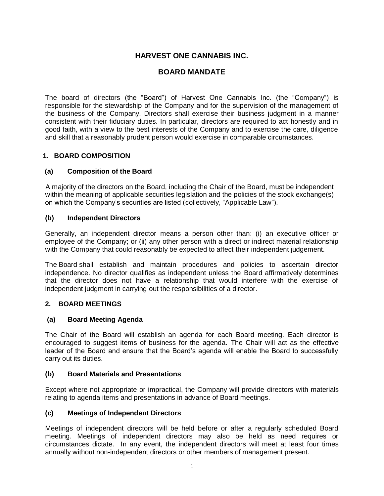# **HARVEST ONE CANNABIS INC.**

## **BOARD MANDATE**

The board of directors (the "Board") of Harvest One Cannabis Inc. (the "Company") is responsible for the stewardship of the Company and for the supervision of the management of the business of the Company. Directors shall exercise their business judgment in a manner consistent with their fiduciary duties. In particular, directors are required to act honestly and in good faith, with a view to the best interests of the Company and to exercise the care, diligence and skill that a reasonably prudent person would exercise in comparable circumstances.

## **1. BOARD COMPOSITION**

#### **(a) Composition of the Board**

A majority of the directors on the Board, including the Chair of the Board, must be independent within the meaning of applicable securities legislation and the policies of the stock exchange(s) on which the Company's securities are listed (collectively, "Applicable Law").

#### **(b) Independent Directors**

Generally, an independent director means a person other than: (i) an executive officer or employee of the Company; or (ii) any other person with a direct or indirect material relationship with the Company that could reasonably be expected to affect their independent judgement.

The Board shall establish and maintain procedures and policies to ascertain director independence. No director qualifies as independent unless the Board affirmatively determines that the director does not have a relationship that would interfere with the exercise of independent judgment in carrying out the responsibilities of a director.

#### **2. BOARD MEETINGS**

#### **(a) Board Meeting Agenda**

The Chair of the Board will establish an agenda for each Board meeting. Each director is encouraged to suggest items of business for the agenda. The Chair will act as the effective leader of the Board and ensure that the Board's agenda will enable the Board to successfully carry out its duties.

#### **(b) Board Materials and Presentations**

Except where not appropriate or impractical, the Company will provide directors with materials relating to agenda items and presentations in advance of Board meetings.

#### **(c) Meetings of Independent Directors**

Meetings of independent directors will be held before or after a regularly scheduled Board meeting. Meetings of independent directors may also be held as need requires or circumstances dictate. In any event, the independent directors will meet at least four times annually without non-independent directors or other members of management present.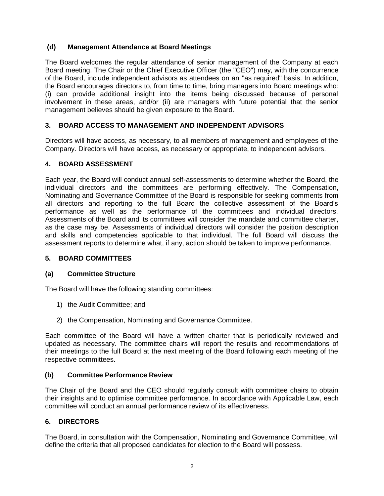## **(d) Management Attendance at Board Meetings**

The Board welcomes the regular attendance of senior management of the Company at each Board meeting. The Chair or the Chief Executive Officer (the "CEO") may, with the concurrence of the Board, include independent advisors as attendees on an "as required" basis. In addition, the Board encourages directors to, from time to time, bring managers into Board meetings who: (i) can provide additional insight into the items being discussed because of personal involvement in these areas, and/or (ii) are managers with future potential that the senior management believes should be given exposure to the Board.

## **3. BOARD ACCESS TO MANAGEMENT AND INDEPENDENT ADVISORS**

Directors will have access, as necessary, to all members of management and employees of the Company. Directors will have access, as necessary or appropriate, to independent advisors.

## **4. BOARD ASSESSMENT**

Each year, the Board will conduct annual self-assessments to determine whether the Board, the individual directors and the committees are performing effectively. The Compensation, Nominating and Governance Committee of the Board is responsible for seeking comments from all directors and reporting to the full Board the collective assessment of the Board's performance as well as the performance of the committees and individual directors. Assessments of the Board and its committees will consider the mandate and committee charter, as the case may be. Assessments of individual directors will consider the position description and skills and competencies applicable to that individual. The full Board will discuss the assessment reports to determine what, if any, action should be taken to improve performance.

#### **5. BOARD COMMITTEES**

#### **(a) Committee Structure**

The Board will have the following standing committees:

- 1) the Audit Committee; and
- 2) the Compensation, Nominating and Governance Committee.

Each committee of the Board will have a written charter that is periodically reviewed and updated as necessary. The committee chairs will report the results and recommendations of their meetings to the full Board at the next meeting of the Board following each meeting of the respective committees.

#### **(b) Committee Performance Review**

The Chair of the Board and the CEO should regularly consult with committee chairs to obtain their insights and to optimise committee performance. In accordance with Applicable Law, each committee will conduct an annual performance review of its effectiveness.

#### **6. DIRECTORS**

The Board, in consultation with the Compensation, Nominating and Governance Committee, will define the criteria that all proposed candidates for election to the Board will possess.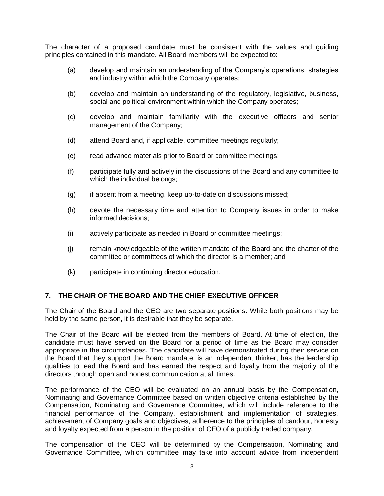The character of a proposed candidate must be consistent with the values and guiding principles contained in this mandate. All Board members will be expected to:

- (a) develop and maintain an understanding of the Company's operations, strategies and industry within which the Company operates;
- (b) develop and maintain an understanding of the regulatory, legislative, business, social and political environment within which the Company operates;
- (c) develop and maintain familiarity with the executive officers and senior management of the Company;
- (d) attend Board and, if applicable, committee meetings regularly;
- (e) read advance materials prior to Board or committee meetings;
- (f) participate fully and actively in the discussions of the Board and any committee to which the individual belongs;
- (g) if absent from a meeting, keep up-to-date on discussions missed;
- (h) devote the necessary time and attention to Company issues in order to make informed decisions;
- (i) actively participate as needed in Board or committee meetings;
- (j) remain knowledgeable of the written mandate of the Board and the charter of the committee or committees of which the director is a member; and
- (k) participate in continuing director education.

#### **7. THE CHAIR OF THE BOARD AND THE CHIEF EXECUTIVE OFFICER**

The Chair of the Board and the CEO are two separate positions. While both positions may be held by the same person, it is desirable that they be separate.

The Chair of the Board will be elected from the members of Board. At time of election, the candidate must have served on the Board for a period of time as the Board may consider appropriate in the circumstances. The candidate will have demonstrated during their service on the Board that they support the Board mandate, is an independent thinker, has the leadership qualities to lead the Board and has earned the respect and loyalty from the majority of the directors through open and honest communication at all times.

The performance of the CEO will be evaluated on an annual basis by the Compensation, Nominating and Governance Committee based on written objective criteria established by the Compensation, Nominating and Governance Committee, which will include reference to the financial performance of the Company, establishment and implementation of strategies, achievement of Company goals and objectives, adherence to the principles of candour, honesty and loyalty expected from a person in the position of CEO of a publicly traded company.

The compensation of the CEO will be determined by the Compensation, Nominating and Governance Committee, which committee may take into account advice from independent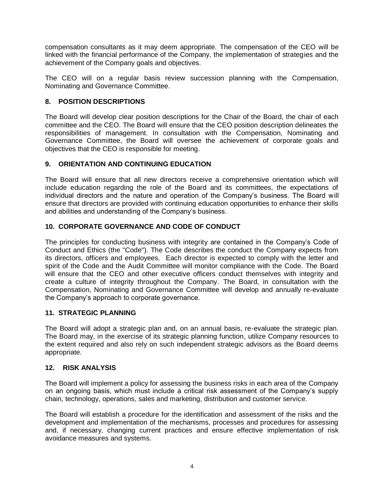compensation consultants as it may deem appropriate. The compensation of the CEO will be linked with the financial performance of the Company, the implementation of strategies and the achievement of the Company goals and objectives.

The CEO will on a regular basis review succession planning with the Compensation, Nominating and Governance Committee.

## **8. POSITION DESCRIPTIONS**

The Board will develop clear position descriptions for the Chair of the Board, the chair of each committee and the CEO. The Board will ensure that the CEO position description delineates the responsibilities of management. In consultation with the Compensation, Nominating and Governance Committee, the Board will oversee the achievement of corporate goals and objectives that the CEO is responsible for meeting.

## **9. ORIENTATION AND CONTINUING EDUCATION**

The Board will ensure that all new directors receive a comprehensive orientation which will include education regarding the role of the Board and its committees, the expectations of individual directors and the nature and operation of the Company's business. The Board will ensure that directors are provided with continuing education opportunities to enhance their skills and abilities and understanding of the Company's business.

## **10. CORPORATE GOVERNANCE AND CODE OF CONDUCT**

The principles for conducting business with integrity are contained in the Company's Code of Conduct and Ethics (the "Code"). The Code describes the conduct the Company expects from its directors, officers and employees. Each director is expected to comply with the letter and spirit of the Code and the Audit Committee will monitor compliance with the Code. The Board will ensure that the CEO and other executive officers conduct themselves with integrity and create a culture of integrity throughout the Company. The Board, in consultation with the Compensation, Nominating and Governance Committee will develop and annually re-evaluate the Company's approach to corporate governance.

#### **11. STRATEGIC PLANNING**

The Board will adopt a strategic plan and, on an annual basis, re-evaluate the strategic plan. The Board may, in the exercise of its strategic planning function, utilize Company resources to the extent required and also rely on such independent strategic advisors as the Board deems appropriate.

#### **12. RISK ANALYSIS**

The Board will implement a policy for assessing the business risks in each area of the Company on an ongoing basis, which must include a critical risk assessment of the Company's supply chain, technology, operations, sales and marketing, distribution and customer service.

The Board will establish a procedure for the identification and assessment of the risks and the development and implementation of the mechanisms, processes and procedures for assessing and, if necessary, changing current practices and ensure effective implementation of risk avoidance measures and systems.